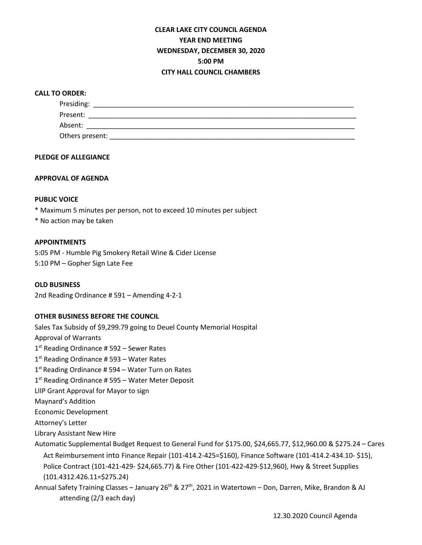# **CLEAR LAKE CITY COUNCIL AGENDA YEAR END MEETING WEDNESDAY, DECEMBER 30, 2020 5:00 PM CITY HALL COUNCIL CHAMBERS**

#### **CALL TO ORDER:**

| Presiding:      |  |  |
|-----------------|--|--|
| Present:        |  |  |
| Absent:         |  |  |
| Others present: |  |  |

#### **PLEDGE OF ALLEGIANCE**

#### **APPROVAL OF AGENDA**

#### **PUBLIC VOICE**

- \* Maximum 5 minutes per person, not to exceed 10 minutes per subject
- \* No action may be taken

### **APPOINTMENTS**

5:05 PM - Humble Pig Smokery Retail Wine & Cider License 5:10 PM – Gopher Sign Late Fee

**OLD BUSINESS** 2nd Reading Ordinance # 591 – Amending 4-2-1

#### **OTHER BUSINESS BEFORE THE COUNCIL**

Sales Tax Subsidy of \$9,299.79 going to Deuel County Memorial Hospital Approval of Warrants  $1<sup>st</sup>$  Reading Ordinance # 592 – Sewer Rates 1<sup>st</sup> Reading Ordinance # 593 – Water Rates  $1<sup>st</sup>$  Reading Ordinance # 594 – Water Turn on Rates  $1<sup>st</sup>$  Reading Ordinance # 595 – Water Meter Deposit LIIP Grant Approval for Mayor to sign Maynard's Addition Economic Development Attorney's Letter Library Assistant New Hire

Automatic Supplemental Budget Request to General Fund for \$175.00, \$24,665.77, \$12,960.00 & \$275.24 – Cares Act Reimbursement into Finance Repair (101-414.2-425=\$160), Finance Software (101-414.2-434.10- \$15), Police Contract (101-421-429- \$24,665.77) & Fire Other (101-422-429-\$12,960), Hwy & Street Supplies (101.4312.426.11=\$275.24)

Annual Safety Training Classes – January 26<sup>th</sup> & 27<sup>th</sup>, 2021 in Watertown – Don, Darren, Mike, Brandon & AJ attending (2/3 each day)